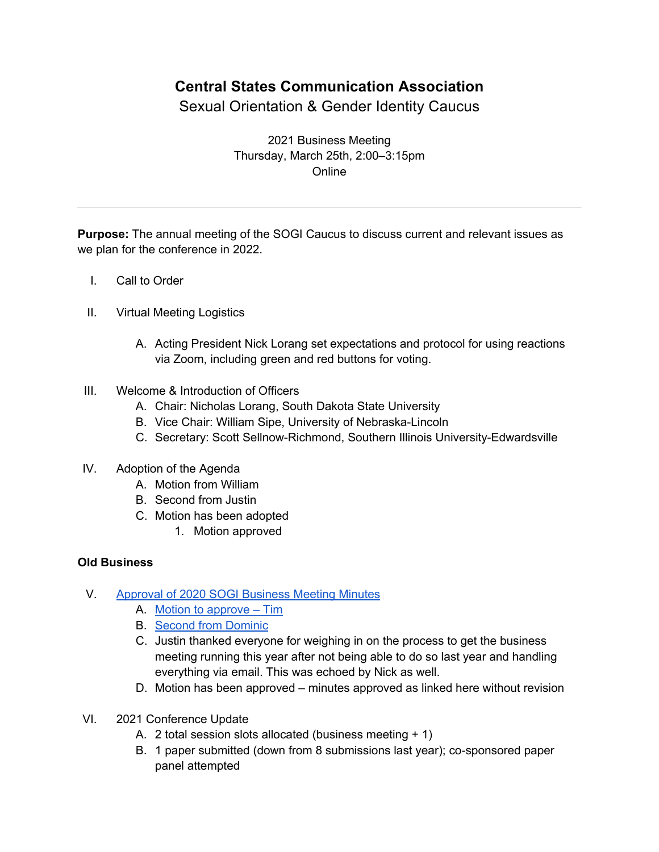## **Central States Communication Association**

Sexual Orientation & Gender Identity Caucus

2021 Business Meeting Thursday, March 25th, 2:00–3:15pm Online

**Purpose:** The annual meeting of the SOGI Caucus to discuss current and relevant issues as we plan for the conference in 2022.

- I. Call to Order
- II. Virtual Meeting Logistics
	- A. Acting President Nick Lorang set expectations and protocol for using reactions via Zoom, including green and red buttons for voting.
- III. Welcome & Introduction of Officers
	- A. Chair: Nicholas Lorang, South Dakota State University
	- B. Vice Chair: William Sipe, University of Nebraska-Lincoln
	- C. Secretary: Scott Sellnow-Richmond, Southern Illinois University-Edwardsville
- IV. Adoption of the Agenda
	- A. Motion from William
	- B. Second from Justin
	- C. Motion has been adopted
		- 1. Motion approved

## **Old Business**

- V. Approval of 2020 SOGI Business Meeting Minutes
	- A. Motion to approve Tim
	- B. Second from Dominic
	- C. Justin thanked everyone for weighing in on the process to get the business meeting running this year after not being able to do so last year and handling everything via email. This was echoed by Nick as well.
	- D. Motion has been approved minutes approved as linked here without revision
- VI. 2021 Conference Update
	- A. 2 total session slots allocated (business meeting + 1)
	- B. 1 paper submitted (down from 8 submissions last year); co-sponsored paper panel attempted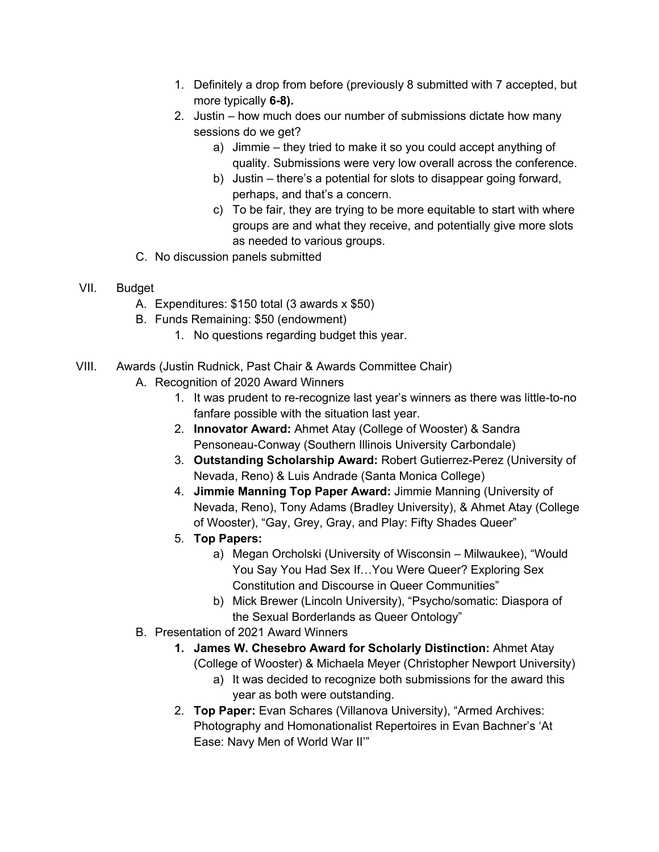- 1. Definitely a drop from before (previously 8 submitted with 7 accepted, but more typically **6-8).**
- 2. Justin how much does our number of submissions dictate how many sessions do we get?
	- a) Jimmie they tried to make it so you could accept anything of quality. Submissions were very low overall across the conference.
	- b) Justin there's a potential for slots to disappear going forward, perhaps, and that's a concern.
	- c) To be fair, they are trying to be more equitable to start with where groups are and what they receive, and potentially give more slots as needed to various groups.
- C. No discussion panels submitted
- VII. Budget
	- A. Expenditures: \$150 total (3 awards x \$50)
	- B. Funds Remaining: \$50 (endowment)
		- 1. No questions regarding budget this year.
- VIII. Awards (Justin Rudnick, Past Chair & Awards Committee Chair)
	- A. Recognition of 2020 Award Winners
		- 1. It was prudent to re-recognize last year's winners as there was little-to-no fanfare possible with the situation last year.
		- 2. **Innovator Award:** Ahmet Atay (College of Wooster) & Sandra Pensoneau-Conway (Southern Illinois University Carbondale)
		- 3. **Outstanding Scholarship Award:** Robert Gutierrez-Perez (University of Nevada, Reno) & Luis Andrade (Santa Monica College)
		- 4. **Jimmie Manning Top Paper Award:** Jimmie Manning (University of Nevada, Reno), Tony Adams (Bradley University), & Ahmet Atay (College of Wooster), "Gay, Grey, Gray, and Play: Fifty Shades Queer"
		- 5. **Top Papers:**
			- a) Megan Orcholski (University of Wisconsin Milwaukee), "Would You Say You Had Sex If…You Were Queer? Exploring Sex Constitution and Discourse in Queer Communities"
			- b) Mick Brewer (Lincoln University), "Psycho/somatic: Diaspora of the Sexual Borderlands as Queer Ontology"
	- B. Presentation of 2021 Award Winners
		- **1. James W. Chesebro Award for Scholarly Distinction:** Ahmet Atay (College of Wooster) & Michaela Meyer (Christopher Newport University)
			- a) It was decided to recognize both submissions for the award this year as both were outstanding.
		- 2. **Top Paper:** Evan Schares (Villanova University), "Armed Archives: Photography and Homonationalist Repertoires in Evan Bachner's 'At Ease: Navy Men of World War II'"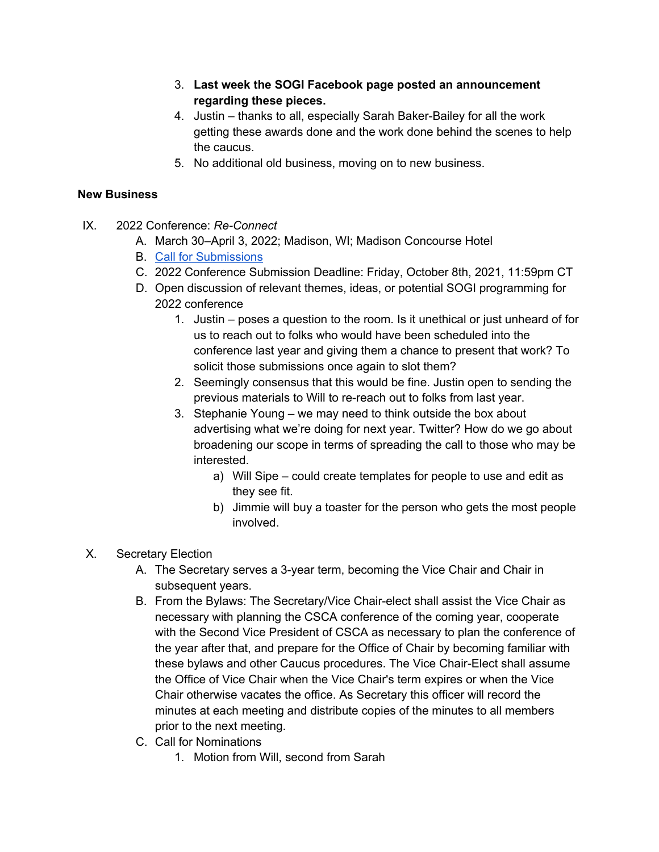- 3. **Last week the SOGI Facebook page posted an announcement regarding these pieces.**
- 4. Justin thanks to all, especially Sarah Baker-Bailey for all the work getting these awards done and the work done behind the scenes to help the caucus.
- 5. No additional old business, moving on to new business.

## **New Business**

- IX. 2022 Conference: *Re-Connect*
	- A. March 30–April 3, 2022; Madison, WI; Madison Concourse Hotel
	- B. Call for Submissions
	- C. 2022 Conference Submission Deadline: Friday, October 8th, 2021, 11:59pm CT
	- D. Open discussion of relevant themes, ideas, or potential SOGI programming for 2022 conference
		- 1. Justin poses a question to the room. Is it unethical or just unheard of for us to reach out to folks who would have been scheduled into the conference last year and giving them a chance to present that work? To solicit those submissions once again to slot them?
		- 2. Seemingly consensus that this would be fine. Justin open to sending the previous materials to Will to re-reach out to folks from last year.
		- 3. Stephanie Young we may need to think outside the box about advertising what we're doing for next year. Twitter? How do we go about broadening our scope in terms of spreading the call to those who may be interested.
			- a) Will Sipe could create templates for people to use and edit as they see fit.
			- b) Jimmie will buy a toaster for the person who gets the most people involved.
- X. Secretary Election
	- A. The Secretary serves a 3-year term, becoming the Vice Chair and Chair in subsequent years.
	- B. From the Bylaws: The Secretary/Vice Chair-elect shall assist the Vice Chair as necessary with planning the CSCA conference of the coming year, cooperate with the Second Vice President of CSCA as necessary to plan the conference of the year after that, and prepare for the Office of Chair by becoming familiar with these bylaws and other Caucus procedures. The Vice Chair-Elect shall assume the Office of Vice Chair when the Vice Chair's term expires or when the Vice Chair otherwise vacates the office. As Secretary this officer will record the minutes at each meeting and distribute copies of the minutes to all members prior to the next meeting.
	- C. Call for Nominations
		- 1. Motion from Will, second from Sarah